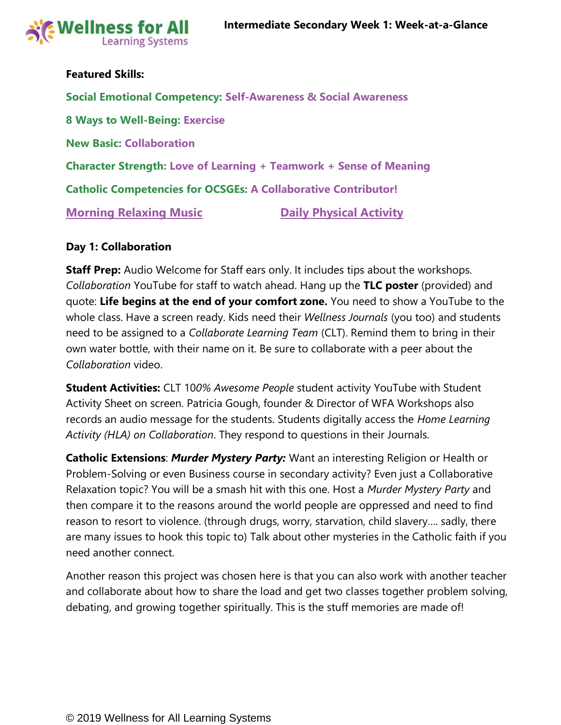

## **Featured Skills:**

**Social Emotional Competency: Self-Awareness & Social Awareness 8 Ways to Well-Being: Exercise New Basic: Collaboration Character Strength: Love of Learning + Teamwork + Sense of Meaning Catholic Competencies for OCSGEs: A Collaborative Contributor! [Morning Relaxing Music](https://www.youtube.com/watch?v=YxfnUPqWV0k) Community Constrainer Physical Activity** 

### **Day 1: Collaboration**

**Staff Prep:** Audio Welcome for Staff ears only. It includes tips about the workshops. *Collaboration* YouTube for staff to watch ahead. Hang up the **TLC poster** (provided) and quote: **Life begins at the end of your comfort zone.** You need to show a YouTube to the whole class. Have a screen ready. Kids need their *Wellness Journals* (you too) and students need to be assigned to a *Collaborate Learning Team* (CLT). Remind them to bring in their own water bottle, with their name on it. Be sure to collaborate with a peer about the *Collaboration* video.

**Student Activities:** CLT 10*0% Awesome People* student activity YouTube with Student Activity Sheet on screen. Patricia Gough, founder & Director of WFA Workshops also records an audio message for the students. Students digitally access the *Home Learning Activity (HLA) on Collaboration*. They respond to questions in their Journals.

**Catholic Extensions**: *Murder Mystery Party:* Want an interesting Religion or Health or Problem-Solving or even Business course in secondary activity? Even just a Collaborative Relaxation topic? You will be a smash hit with this one. Host a *Murder Mystery Party* and then compare it to the reasons around the world people are oppressed and need to find reason to resort to violence. (through drugs, worry, starvation, child slavery…. sadly, there are many issues to hook this topic to) Talk about other mysteries in the Catholic faith if you need another connect.

Another reason this project was chosen here is that you can also work with another teacher and collaborate about how to share the load and get two classes together problem solving, debating, and growing together spiritually. This is the stuff memories are made of!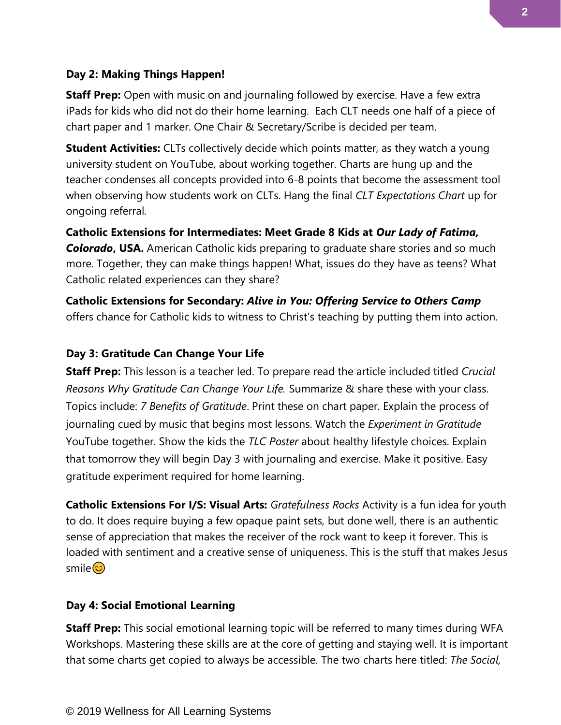### **Day 2: Making Things Happen!**

**Staff Prep:** Open with music on and journaling followed by exercise. Have a few extra iPads for kids who did not do their home learning. Each CLT needs one half of a piece of chart paper and 1 marker. One Chair & Secretary/Scribe is decided per team.

**Student Activities:** CLTs collectively decide which points matter, as they watch a young university student on YouTube, about working together. Charts are hung up and the teacher condenses all concepts provided into 6-8 points that become the assessment tool when observing how students work on CLTs. Hang the final *CLT Expectations Chart* up for ongoing referral*.*

**Catholic Extensions for Intermediates: Meet Grade 8 Kids at** *Our Lady of Fatima,*  **Colorado, USA.** American Catholic kids preparing to graduate share stories and so much more. Together, they can make things happen! What, issues do they have as teens? What Catholic related experiences can they share?

**Catholic Extensions for Secondary:** *Alive in You: Offering Service to Others Camp*  offers chance for Catholic kids to witness to Christ's teaching by putting them into action.

# **Day 3: Gratitude Can Change Your Life**

**Staff Prep:** This lesson is a teacher led. To prepare read the article included titled *Crucial Reasons Why Gratitude Can Change Your Life.* Summarize & share these with your class. Topics include: *7 Benefits of Gratitude*. Print these on chart paper. Explain the process of journaling cued by music that begins most lessons. Watch the *Experiment in Gratitude*  YouTube together. Show the kids the *TLC Poster* about healthy lifestyle choices. Explain that tomorrow they will begin Day 3 with journaling and exercise. Make it positive. Easy gratitude experiment required for home learning.

**Catholic Extensions For I/S: Visual Arts:** *Gratefulness Rocks* Activity is a fun idea for youth to do. It does require buying a few opaque paint sets, but done well, there is an authentic sense of appreciation that makes the receiver of the rock want to keep it forever. This is loaded with sentiment and a creative sense of uniqueness. This is the stuff that makes Jesus smile <mark>හ</mark>

### **Day 4: Social Emotional Learning**

**Staff Prep:** This social emotional learning topic will be referred to many times during WFA Workshops. Mastering these skills are at the core of getting and staying well. It is important that some charts get copied to always be accessible. The two charts here titled: *The Social,*